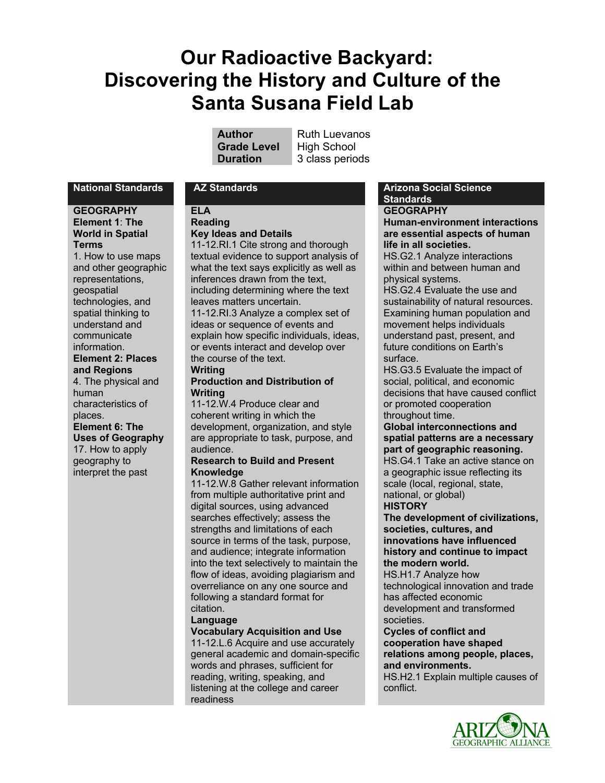# **Our Radioactive Backyard: Discovering the History and Culture of the Santa Susana Field Lab**

**Grade Level** High School

**Author** Ruth Luevanos **Duration** 3 class periods

#### **GEOGRAPHY Element 1**: **The World in Spatial Terms**

1. How to use maps and other geographic representations, geospatial technologies, and spatial thinking to understand and communicate information. **Element 2: Places and Regions** 4. The physical and human

characteristics of places. **Element 6: The Uses of Geography**

17. How to apply geography to interpret the past

#### **ELA Reading**

## **Key Ideas and Details**

11-12.RI.1 Cite strong and thorough textual evidence to support analysis of what the text says explicitly as well as inferences drawn from the text, including determining where the text leaves matters uncertain.

11-12.RI.3 Analyze a complex set of ideas or sequence of events and explain how specific individuals, ideas, or events interact and develop over the course of the text.

#### **Writing Production and Distribution of Writing**

11-12.W.4 Produce clear and coherent writing in which the development, organization, and style are appropriate to task, purpose, and audience.

#### **Research to Build and Present Knowledge**

11-12.W.8 Gather relevant information from multiple authoritative print and digital sources, using advanced searches effectively; assess the strengths and limitations of each source in terms of the task, purpose, and audience; integrate information into the text selectively to maintain the flow of ideas, avoiding plagiarism and overreliance on any one source and following a standard format for citation.

## **Language**

**Vocabulary Acquisition and Use**

11-12.L.6 Acquire and use accurately general academic and domain-specific words and phrases, sufficient for reading, writing, speaking, and listening at the college and career readiness

**National Standards AZ Standards Arizona Social Science Standards**

## **GEOGRAPHY**

**Human-environment interactions are essential aspects of human life in all societies.** HS.G2.1 Analyze interactions

within and between human and physical systems.

HS.G2.4 Evaluate the use and sustainability of natural resources. Examining human population and movement helps individuals understand past, present, and future conditions on Earth's surface.

HS.G3.5 Evaluate the impact of social, political, and economic decisions that have caused conflict or promoted cooperation throughout time.

## **Global interconnections and spatial patterns are a necessary part of geographic reasoning.** HS.G4.1 Take an active stance on a geographic issue reflecting its

scale (local, regional, state, national, or global) **HISTORY**

**The development of civilizations, societies, cultures, and innovations have influenced history and continue to impact the modern world.**

HS.H1.7 Analyze how technological innovation and trade has affected economic development and transformed societies.

#### **Cycles of conflict and cooperation have shaped relations among people, places,**

**and environments.**

HS.H2.1 Explain multiple causes of conflict.

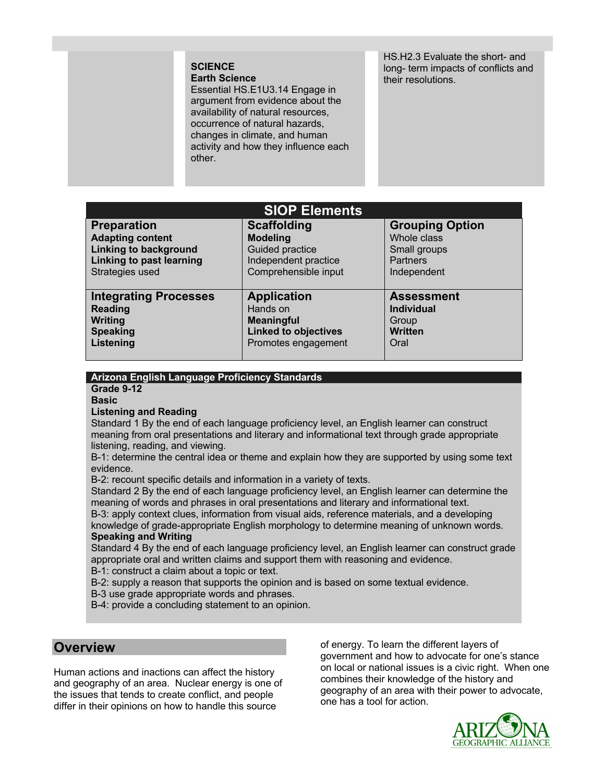### **SCIENCE Earth Science**

Essential HS.E1U3.14 Engage in argument from evidence about the availability of natural resources, occurrence of natural hazards, changes in climate, and human activity and how they influence each other.

HS.H2.3 Evaluate the short- and long- term impacts of conflicts and their resolutions.

| <b>SIOP Elements</b>            |                             |                        |
|---------------------------------|-----------------------------|------------------------|
| <b>Preparation</b>              | <b>Scaffolding</b>          | <b>Grouping Option</b> |
| <b>Adapting content</b>         | <b>Modeling</b>             | Whole class            |
| <b>Linking to background</b>    | <b>Guided practice</b>      | Small groups           |
| <b>Linking to past learning</b> | Independent practice        | <b>Partners</b>        |
| Strategies used                 | Comprehensible input        | Independent            |
|                                 |                             |                        |
| <b>Integrating Processes</b>    | <b>Application</b>          | <b>Assessment</b>      |
| <b>Reading</b>                  | Hands on                    | <b>Individual</b>      |
| Writing                         | <b>Meaningful</b>           | Group                  |
| <b>Speaking</b>                 | <b>Linked to objectives</b> | <b>Written</b>         |
| Listening                       | Promotes engagement         | Oral                   |
|                                 |                             |                        |

## **Arizona English Language Proficiency Standards**

**Grade 9-12**

**Basic**

#### **Listening and Reading**

Standard 1 By the end of each language proficiency level, an English learner can construct meaning from oral presentations and literary and informational text through grade appropriate listening, reading, and viewing.

B-1: determine the central idea or theme and explain how they are supported by using some text evidence.

B-2: recount specific details and information in a variety of texts.

Standard 2 By the end of each language proficiency level, an English learner can determine the meaning of words and phrases in oral presentations and literary and informational text.

B-3: apply context clues, information from visual aids, reference materials, and a developing knowledge of grade-appropriate English morphology to determine meaning of unknown words. **Speaking and Writing**

Standard 4 By the end of each language proficiency level, an English learner can construct grade appropriate oral and written claims and support them with reasoning and evidence.

B-1: construct a claim about a topic or text.

B-2: supply a reason that supports the opinion and is based on some textual evidence.

B-3 use grade appropriate words and phrases.

B-4: provide a concluding statement to an opinion.

## **Overview**

Human actions and inactions can affect the history and geography of an area. Nuclear energy is one of the issues that tends to create conflict, and people differ in their opinions on how to handle this source

of energy. To learn the different layers of government and how to advocate for one's stance on local or national issues is a civic right. When one combines their knowledge of the history and geography of an area with their power to advocate, one has a tool for action.

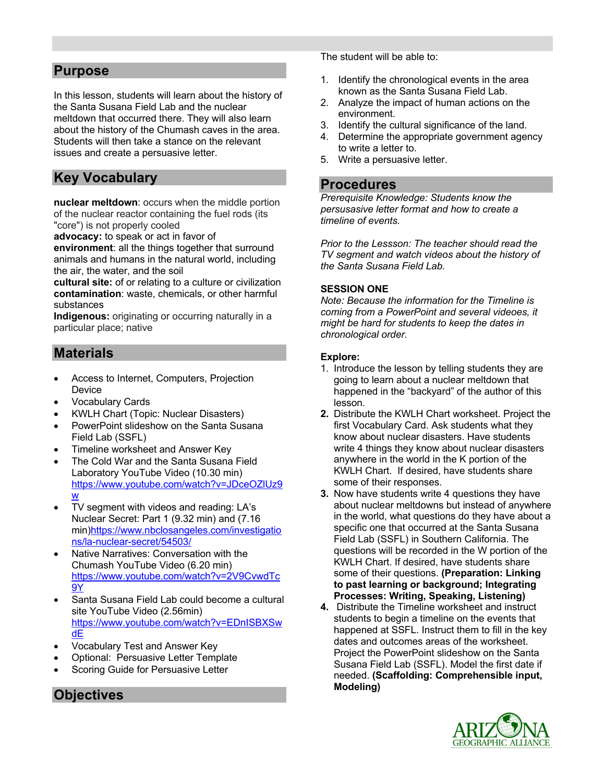## **Purpose**

In this lesson, students will learn about the history of the Santa Susana Field Lab and the nuclear meltdown that occurred there. They will also learn about the history of the Chumash caves in the area. Students will then take a stance on the relevant issues and create a persuasive letter.

## **Key Vocabulary**

**nuclear meltdown**: occurs when the middle portion of the nuclear reactor containing the fuel rods (its "core") is not properly cooled

**advocacy:** to speak or act in favor of

**environment**: all the things together that surround animals and humans in the natural world, including the air, the water, and the soil

**cultural site:** of or relating to a culture or civilization **contamination**: waste, chemicals, or other harmful substances

**Indigenous:** originating or occurring naturally in a particular place; native

## **Materials**

- Access to Internet, Computers, Projection Device
- Vocabulary Cards
- KWLH Chart (Topic: Nuclear Disasters)
- PowerPoint slideshow on the Santa Susana Field Lab (SSFL)
- Timeline worksheet and Answer Key
- The Cold War and the Santa Susana Field Laboratory YouTube Video (10.30 min) https://www.youtube.com/watch?v=JDceOZlUz9 w
- TV segment with videos and reading: LA's Nuclear Secret: Part 1 (9.32 min) and (7.16 min)https://www.nbclosangeles.com/investigatio ns/la-nuclear-secret/54503/
- Native Narratives: Conversation with the Chumash YouTube Video (6.20 min) https://www.youtube.com/watch?v=2V9CvwdTc 9Y
- Santa Susana Field Lab could become a cultural site YouTube Video (2.56min) https://www.youtube.com/watch?v=EDnISBXSw dE
- Vocabulary Test and Answer Key
- Optional: Persuasive Letter Template
- Scoring Guide for Persuasive Letter

The student will be able to:

- 1. Identify the chronological events in the area known as the Santa Susana Field Lab.
- 2. Analyze the impact of human actions on the environment.
- 3. Identify the cultural significance of the land.
- 4. Determine the appropriate government agency to write a letter to.
- 5. Write a persuasive letter.

## **Procedures**

*Prerequisite Knowledge: Students know the persusasive letter format and how to create a timeline of events.*

*Prior to the Lessson: The teacher should read the TV segment and watch videos about the history of the Santa Susana Field Lab.* 

## **SESSION ONE**

*Note: Because the information for the Timeline is coming from a PowerPoint and several videoes, it might be hard for students to keep the dates in chronological order.* 

## **Explore:**

- 1. Introduce the lesson by telling students they are going to learn about a nuclear meltdown that happened in the "backyard" of the author of this lesson.
- **2.** Distribute the KWLH Chart worksheet. Project the first Vocabulary Card. Ask students what they know about nuclear disasters. Have students write 4 things they know about nuclear disasters anywhere in the world in the K portion of the KWLH Chart. If desired, have students share some of their responses.
- **3.** Now have students write 4 questions they have about nuclear meltdowns but instead of anywhere in the world, what questions do they have about a specific one that occurred at the Santa Susana Field Lab (SSFL) in Southern California. The questions will be recorded in the W portion of the KWLH Chart. If desired, have students share some of their questions. **(Preparation: Linking to past learning or background; Integrating Processes: Writing, Speaking, Listening)**
- **4.** Distribute the Timeline worksheet and instruct students to begin a timeline on the events that happened at SSFL. Instruct them to fill in the key dates and outcomes areas of the worksheet. Project the PowerPoint slideshow on the Santa Susana Field Lab (SSFL). Model the first date if needed. **(Scaffolding: Comprehensible input, Modeling)**



## **Objectives**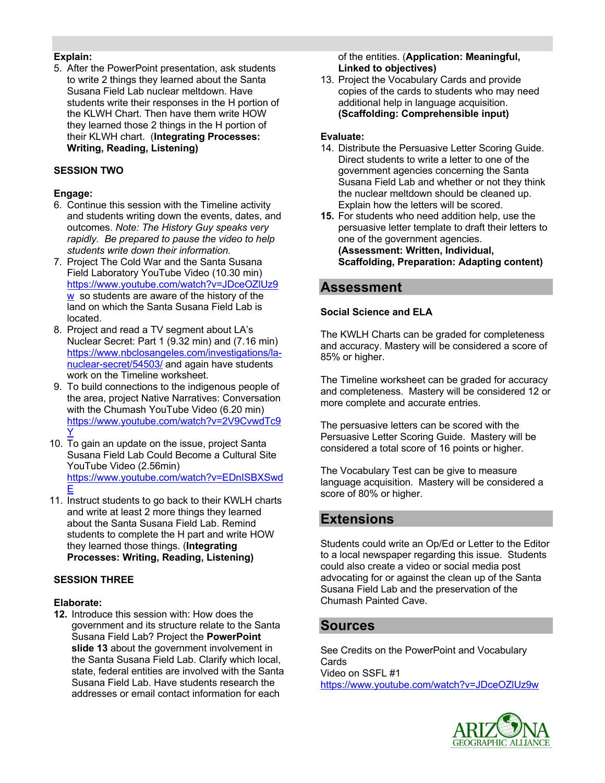## **Explain:**

5. After the PowerPoint presentation, ask students to write 2 things they learned about the Santa Susana Field Lab nuclear meltdown. Have students write their responses in the H portion of the KLWH Chart. Then have them write HOW they learned those 2 things in the H portion of their KLWH chart. (**Integrating Processes: Writing, Reading, Listening)**

## **SESSION TWO**

## **Engage:**

- 6. Continue this session with the Timeline activity and students writing down the events, dates, and outcomes. *Note: The History Guy speaks very rapidly. Be prepared to pause the video to help students write down their information.*
- 7. Project The Cold War and the Santa Susana Field Laboratory YouTube Video (10.30 min) https://www.youtube.com/watch?v=JDceOZlUz9 w so students are aware of the history of the land on which the Santa Susana Field Lab is located.
- 8. Project and read a TV segment about LA's Nuclear Secret: Part 1 (9.32 min) and (7.16 min) https://www.nbclosangeles.com/investigations/lanuclear-secret/54503/ and again have students work on the Timeline worksheet.
- 9. To build connections to the indigenous people of the area, project Native Narratives: Conversation with the Chumash YouTube Video (6.20 min) https://www.youtube.com/watch?v=2V9CvwdTc9 Y
- 10. To gain an update on the issue, project Santa Susana Field Lab Could Become a Cultural Site YouTube Video (2.56min) https://www.youtube.com/watch?v=EDnISBXSwd E
- 11. Instruct students to go back to their KWLH charts and write at least 2 more things they learned about the Santa Susana Field Lab. Remind students to complete the H part and write HOW they learned those things. (**Integrating Processes: Writing, Reading, Listening)**

## **SESSION THREE**

## **Elaborate:**

**12.** Introduce this session with: How does the government and its structure relate to the Santa Susana Field Lab? Project the **PowerPoint slide 13** about the government involvement in the Santa Susana Field Lab. Clarify which local, state, federal entities are involved with the Santa Susana Field Lab. Have students research the addresses or email contact information for each

of the entities. (**Application: Meaningful, Linked to objectives)**

13. Project the Vocabulary Cards and provide copies of the cards to students who may need additional help in language acquisition. **(Scaffolding: Comprehensible input)**

## **Evaluate:**

- 14. Distribute the Persuasive Letter Scoring Guide. Direct students to write a letter to one of the government agencies concerning the Santa Susana Field Lab and whether or not they think the nuclear meltdown should be cleaned up. Explain how the letters will be scored.
- **15.** For students who need addition help, use the persuasive letter template to draft their letters to one of the government agencies. **(Assessment: Written, Individual, Scaffolding, Preparation: Adapting content)**

## **Assessment**

## **Social Science and ELA**

The KWLH Charts can be graded for completeness and accuracy. Mastery will be considered a score of 85% or higher.

The Timeline worksheet can be graded for accuracy and completeness. Mastery will be considered 12 or more complete and accurate entries.

The persuasive letters can be scored with the Persuasive Letter Scoring Guide. Mastery will be considered a total score of 16 points or higher.

The Vocabulary Test can be give to measure language acquisition. Mastery will be considered a score of 80% or higher.

## **Extensions**

Students could write an Op/Ed or Letter to the Editor to a local newspaper regarding this issue. Students could also create a video or social media post advocating for or against the clean up of the Santa Susana Field Lab and the preservation of the Chumash Painted Cave.

## **Sources**

See Credits on the PowerPoint and Vocabulary **Cards** Video on SSFL #1 https://www.youtube.com/watch?v=JDceOZlUz9w